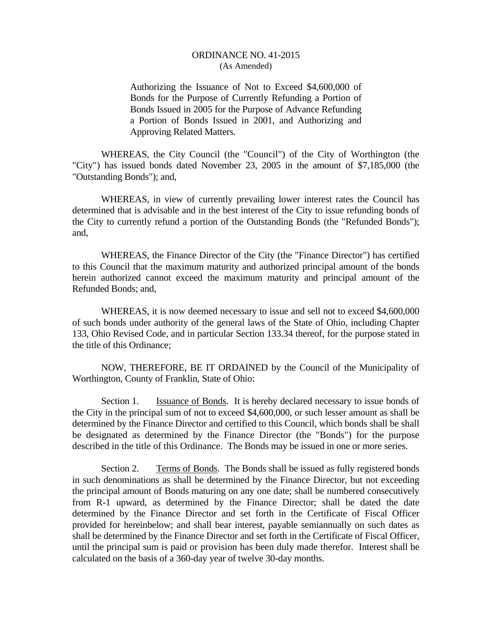Authorizing the Issuance of Not to Exceed \$4,600,000 of Bonds for the Purpose of Currently Refunding a Portion of Bonds Issued in 2005 for the Purpose of Advance Refunding a Portion of Bonds Issued in 2001, and Authorizing and Approving Related Matters.

 WHEREAS, the City Council (the "Council") of the City of Worthington (the "City") has issued bonds dated November 23, 2005 in the amount of \$7,185,000 (the "Outstanding Bonds"); and,

 WHEREAS, in view of currently prevailing lower interest rates the Council has determined that is advisable and in the best interest of the City to issue refunding bonds of the City to currently refund a portion of the Outstanding Bonds (the "Refunded Bonds"); and,

 WHEREAS, the Finance Director of the City (the "Finance Director") has certified to this Council that the maximum maturity and authorized principal amount of the bonds herein authorized cannot exceed the maximum maturity and principal amount of the Refunded Bonds; and,

 WHEREAS, it is now deemed necessary to issue and sell not to exceed \$4,600,000 of such bonds under authority of the general laws of the State of Ohio, including Chapter 133, Ohio Revised Code, and in particular Section 133.34 thereof, for the purpose stated in the title of this Ordinance;

 NOW, THEREFORE, BE IT ORDAINED by the Council of the Municipality of Worthington, County of Franklin, State of Ohio:

Section 1. Issuance of Bonds. It is hereby declared necessary to issue bonds of the City in the principal sum of not to exceed \$4,600,000, or such lesser amount as shall be determined by the Finance Director and certified to this Council, which bonds shall be shall be designated as determined by the Finance Director (the "Bonds") for the purpose described in the title of this Ordinance. The Bonds may be issued in one or more series.

Section 2. Terms of Bonds. The Bonds shall be issued as fully registered bonds in such denominations as shall be determined by the Finance Director, but not exceeding the principal amount of Bonds maturing on any one date; shall be numbered consecutively from R-1 upward, as determined by the Finance Director; shall be dated the date determined by the Finance Director and set forth in the Certificate of Fiscal Officer provided for hereinbelow; and shall bear interest, payable semiannually on such dates as shall be determined by the Finance Director and set forth in the Certificate of Fiscal Officer, until the principal sum is paid or provision has been duly made therefor. Interest shall be calculated on the basis of a 360-day year of twelve 30-day months.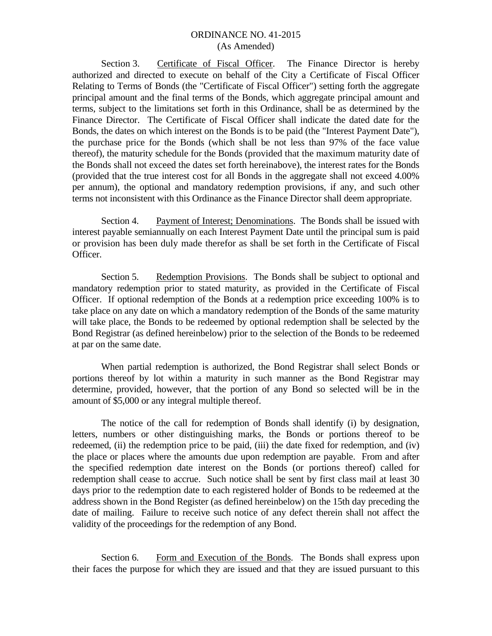Section 3. Certificate of Fiscal Officer. The Finance Director is hereby authorized and directed to execute on behalf of the City a Certificate of Fiscal Officer Relating to Terms of Bonds (the "Certificate of Fiscal Officer") setting forth the aggregate principal amount and the final terms of the Bonds, which aggregate principal amount and terms, subject to the limitations set forth in this Ordinance, shall be as determined by the Finance Director. The Certificate of Fiscal Officer shall indicate the dated date for the Bonds, the dates on which interest on the Bonds is to be paid (the "Interest Payment Date"), the purchase price for the Bonds (which shall be not less than 97% of the face value thereof), the maturity schedule for the Bonds (provided that the maximum maturity date of the Bonds shall not exceed the dates set forth hereinabove), the interest rates for the Bonds (provided that the true interest cost for all Bonds in the aggregate shall not exceed 4.00% per annum), the optional and mandatory redemption provisions, if any, and such other terms not inconsistent with this Ordinance as the Finance Director shall deem appropriate.

Section 4. Payment of Interest; Denominations. The Bonds shall be issued with interest payable semiannually on each Interest Payment Date until the principal sum is paid or provision has been duly made therefor as shall be set forth in the Certificate of Fiscal Officer.

Section 5. Redemption Provisions. The Bonds shall be subject to optional and mandatory redemption prior to stated maturity, as provided in the Certificate of Fiscal Officer. If optional redemption of the Bonds at a redemption price exceeding 100% is to take place on any date on which a mandatory redemption of the Bonds of the same maturity will take place, the Bonds to be redeemed by optional redemption shall be selected by the Bond Registrar (as defined hereinbelow) prior to the selection of the Bonds to be redeemed at par on the same date.

 When partial redemption is authorized, the Bond Registrar shall select Bonds or portions thereof by lot within a maturity in such manner as the Bond Registrar may determine, provided, however, that the portion of any Bond so selected will be in the amount of \$5,000 or any integral multiple thereof.

 The notice of the call for redemption of Bonds shall identify (i) by designation, letters, numbers or other distinguishing marks, the Bonds or portions thereof to be redeemed, (ii) the redemption price to be paid, (iii) the date fixed for redemption, and (iv) the place or places where the amounts due upon redemption are payable. From and after the specified redemption date interest on the Bonds (or portions thereof) called for redemption shall cease to accrue. Such notice shall be sent by first class mail at least 30 days prior to the redemption date to each registered holder of Bonds to be redeemed at the address shown in the Bond Register (as defined hereinbelow) on the 15th day preceding the date of mailing. Failure to receive such notice of any defect therein shall not affect the validity of the proceedings for the redemption of any Bond.

Section 6. Form and Execution of the Bonds. The Bonds shall express upon their faces the purpose for which they are issued and that they are issued pursuant to this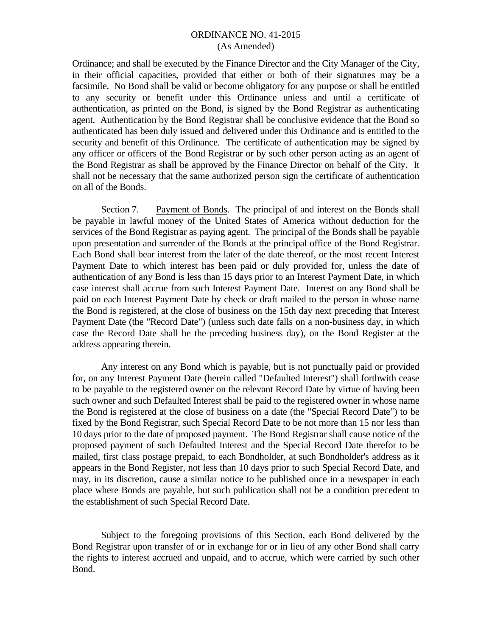Ordinance; and shall be executed by the Finance Director and the City Manager of the City, in their official capacities, provided that either or both of their signatures may be a facsimile. No Bond shall be valid or become obligatory for any purpose or shall be entitled to any security or benefit under this Ordinance unless and until a certificate of authentication, as printed on the Bond, is signed by the Bond Registrar as authenticating agent. Authentication by the Bond Registrar shall be conclusive evidence that the Bond so authenticated has been duly issued and delivered under this Ordinance and is entitled to the security and benefit of this Ordinance. The certificate of authentication may be signed by any officer or officers of the Bond Registrar or by such other person acting as an agent of the Bond Registrar as shall be approved by the Finance Director on behalf of the City. It shall not be necessary that the same authorized person sign the certificate of authentication on all of the Bonds.

Section 7. Payment of Bonds. The principal of and interest on the Bonds shall be payable in lawful money of the United States of America without deduction for the services of the Bond Registrar as paying agent. The principal of the Bonds shall be payable upon presentation and surrender of the Bonds at the principal office of the Bond Registrar. Each Bond shall bear interest from the later of the date thereof, or the most recent Interest Payment Date to which interest has been paid or duly provided for, unless the date of authentication of any Bond is less than 15 days prior to an Interest Payment Date, in which case interest shall accrue from such Interest Payment Date. Interest on any Bond shall be paid on each Interest Payment Date by check or draft mailed to the person in whose name the Bond is registered, at the close of business on the 15th day next preceding that Interest Payment Date (the "Record Date") (unless such date falls on a non-business day, in which case the Record Date shall be the preceding business day), on the Bond Register at the address appearing therein.

 Any interest on any Bond which is payable, but is not punctually paid or provided for, on any Interest Payment Date (herein called "Defaulted Interest") shall forthwith cease to be payable to the registered owner on the relevant Record Date by virtue of having been such owner and such Defaulted Interest shall be paid to the registered owner in whose name the Bond is registered at the close of business on a date (the "Special Record Date") to be fixed by the Bond Registrar, such Special Record Date to be not more than 15 nor less than 10 days prior to the date of proposed payment. The Bond Registrar shall cause notice of the proposed payment of such Defaulted Interest and the Special Record Date therefor to be mailed, first class postage prepaid, to each Bondholder, at such Bondholder's address as it appears in the Bond Register, not less than 10 days prior to such Special Record Date, and may, in its discretion, cause a similar notice to be published once in a newspaper in each place where Bonds are payable, but such publication shall not be a condition precedent to the establishment of such Special Record Date.

 Subject to the foregoing provisions of this Section, each Bond delivered by the Bond Registrar upon transfer of or in exchange for or in lieu of any other Bond shall carry the rights to interest accrued and unpaid, and to accrue, which were carried by such other Bond.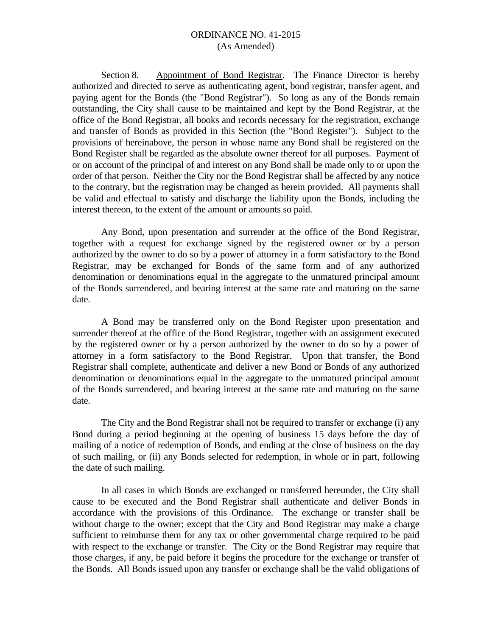Section 8. Appointment of Bond Registrar. The Finance Director is hereby authorized and directed to serve as authenticating agent, bond registrar, transfer agent, and paying agent for the Bonds (the "Bond Registrar"). So long as any of the Bonds remain outstanding, the City shall cause to be maintained and kept by the Bond Registrar, at the office of the Bond Registrar, all books and records necessary for the registration, exchange and transfer of Bonds as provided in this Section (the "Bond Register"). Subject to the provisions of hereinabove, the person in whose name any Bond shall be registered on the Bond Register shall be regarded as the absolute owner thereof for all purposes. Payment of or on account of the principal of and interest on any Bond shall be made only to or upon the order of that person. Neither the City nor the Bond Registrar shall be affected by any notice to the contrary, but the registration may be changed as herein provided. All payments shall be valid and effectual to satisfy and discharge the liability upon the Bonds, including the interest thereon, to the extent of the amount or amounts so paid.

 Any Bond, upon presentation and surrender at the office of the Bond Registrar, together with a request for exchange signed by the registered owner or by a person authorized by the owner to do so by a power of attorney in a form satisfactory to the Bond Registrar, may be exchanged for Bonds of the same form and of any authorized denomination or denominations equal in the aggregate to the unmatured principal amount of the Bonds surrendered, and bearing interest at the same rate and maturing on the same date.

 A Bond may be transferred only on the Bond Register upon presentation and surrender thereof at the office of the Bond Registrar, together with an assignment executed by the registered owner or by a person authorized by the owner to do so by a power of attorney in a form satisfactory to the Bond Registrar. Upon that transfer, the Bond Registrar shall complete, authenticate and deliver a new Bond or Bonds of any authorized denomination or denominations equal in the aggregate to the unmatured principal amount of the Bonds surrendered, and bearing interest at the same rate and maturing on the same date.

 The City and the Bond Registrar shall not be required to transfer or exchange (i) any Bond during a period beginning at the opening of business 15 days before the day of mailing of a notice of redemption of Bonds, and ending at the close of business on the day of such mailing, or (ii) any Bonds selected for redemption, in whole or in part, following the date of such mailing.

 In all cases in which Bonds are exchanged or transferred hereunder, the City shall cause to be executed and the Bond Registrar shall authenticate and deliver Bonds in accordance with the provisions of this Ordinance. The exchange or transfer shall be without charge to the owner; except that the City and Bond Registrar may make a charge sufficient to reimburse them for any tax or other governmental charge required to be paid with respect to the exchange or transfer. The City or the Bond Registrar may require that those charges, if any, be paid before it begins the procedure for the exchange or transfer of the Bonds. All Bonds issued upon any transfer or exchange shall be the valid obligations of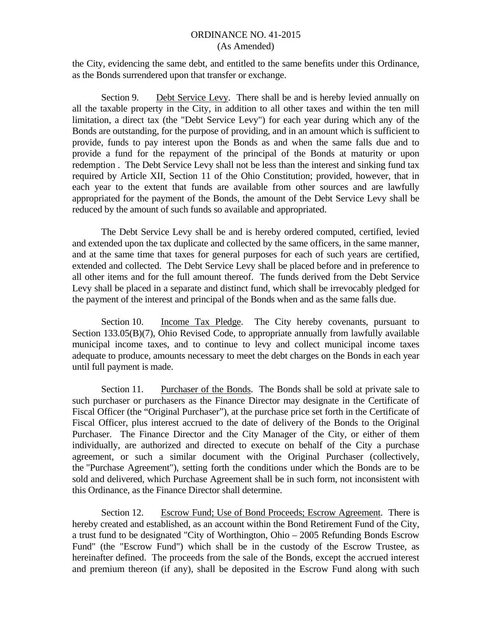the City, evidencing the same debt, and entitled to the same benefits under this Ordinance, as the Bonds surrendered upon that transfer or exchange.

Section 9. Debt Service Levy. There shall be and is hereby levied annually on all the taxable property in the City, in addition to all other taxes and within the ten mill limitation, a direct tax (the "Debt Service Levy") for each year during which any of the Bonds are outstanding, for the purpose of providing, and in an amount which is sufficient to provide, funds to pay interest upon the Bonds as and when the same falls due and to provide a fund for the repayment of the principal of the Bonds at maturity or upon redemption . The Debt Service Levy shall not be less than the interest and sinking fund tax required by Article XII, Section 11 of the Ohio Constitution; provided, however, that in each year to the extent that funds are available from other sources and are lawfully appropriated for the payment of the Bonds, the amount of the Debt Service Levy shall be reduced by the amount of such funds so available and appropriated.

The Debt Service Levy shall be and is hereby ordered computed, certified, levied and extended upon the tax duplicate and collected by the same officers, in the same manner, and at the same time that taxes for general purposes for each of such years are certified, extended and collected. The Debt Service Levy shall be placed before and in preference to all other items and for the full amount thereof. The funds derived from the Debt Service Levy shall be placed in a separate and distinct fund, which shall be irrevocably pledged for the payment of the interest and principal of the Bonds when and as the same falls due.

Section 10. Income Tax Pledge. The City hereby covenants, pursuant to Section 133.05(B)(7), Ohio Revised Code, to appropriate annually from lawfully available municipal income taxes, and to continue to levy and collect municipal income taxes adequate to produce, amounts necessary to meet the debt charges on the Bonds in each year until full payment is made.

Section 11. Purchaser of the Bonds. The Bonds shall be sold at private sale to such purchaser or purchasers as the Finance Director may designate in the Certificate of Fiscal Officer (the "Original Purchaser"), at the purchase price set forth in the Certificate of Fiscal Officer, plus interest accrued to the date of delivery of the Bonds to the Original Purchaser. The Finance Director and the City Manager of the City, or either of them individually, are authorized and directed to execute on behalf of the City a purchase agreement, or such a similar document with the Original Purchaser (collectively, the "Purchase Agreement"), setting forth the conditions under which the Bonds are to be sold and delivered, which Purchase Agreement shall be in such form, not inconsistent with this Ordinance, as the Finance Director shall determine.

Section 12. Escrow Fund; Use of Bond Proceeds; Escrow Agreement. There is hereby created and established, as an account within the Bond Retirement Fund of the City, a trust fund to be designated "City of Worthington, Ohio – 2005 Refunding Bonds Escrow Fund" (the "Escrow Fund") which shall be in the custody of the Escrow Trustee, as hereinafter defined. The proceeds from the sale of the Bonds, except the accrued interest and premium thereon (if any), shall be deposited in the Escrow Fund along with such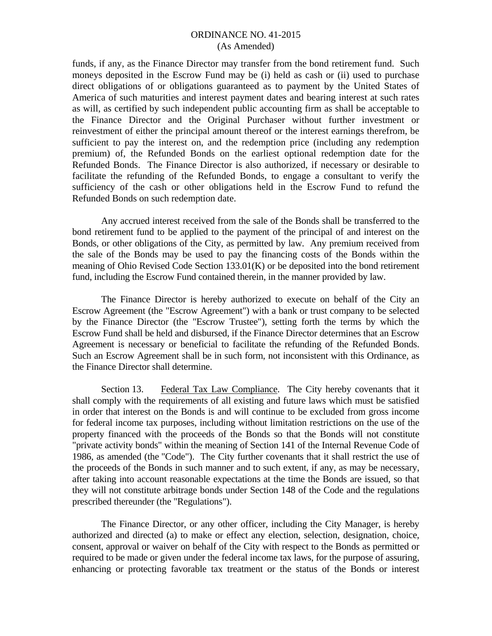funds, if any, as the Finance Director may transfer from the bond retirement fund. Such moneys deposited in the Escrow Fund may be (i) held as cash or (ii) used to purchase direct obligations of or obligations guaranteed as to payment by the United States of America of such maturities and interest payment dates and bearing interest at such rates as will, as certified by such independent public accounting firm as shall be acceptable to the Finance Director and the Original Purchaser without further investment or reinvestment of either the principal amount thereof or the interest earnings therefrom, be sufficient to pay the interest on, and the redemption price (including any redemption premium) of, the Refunded Bonds on the earliest optional redemption date for the Refunded Bonds. The Finance Director is also authorized, if necessary or desirable to facilitate the refunding of the Refunded Bonds, to engage a consultant to verify the sufficiency of the cash or other obligations held in the Escrow Fund to refund the Refunded Bonds on such redemption date.

Any accrued interest received from the sale of the Bonds shall be transferred to the bond retirement fund to be applied to the payment of the principal of and interest on the Bonds, or other obligations of the City, as permitted by law. Any premium received from the sale of the Bonds may be used to pay the financing costs of the Bonds within the meaning of Ohio Revised Code Section 133.01(K) or be deposited into the bond retirement fund, including the Escrow Fund contained therein, in the manner provided by law.

The Finance Director is hereby authorized to execute on behalf of the City an Escrow Agreement (the "Escrow Agreement") with a bank or trust company to be selected by the Finance Director (the "Escrow Trustee"), setting forth the terms by which the Escrow Fund shall be held and disbursed, if the Finance Director determines that an Escrow Agreement is necessary or beneficial to facilitate the refunding of the Refunded Bonds. Such an Escrow Agreement shall be in such form, not inconsistent with this Ordinance, as the Finance Director shall determine.

Section 13. Federal Tax Law Compliance. The City hereby covenants that it shall comply with the requirements of all existing and future laws which must be satisfied in order that interest on the Bonds is and will continue to be excluded from gross income for federal income tax purposes, including without limitation restrictions on the use of the property financed with the proceeds of the Bonds so that the Bonds will not constitute "private activity bonds" within the meaning of Section 141 of the Internal Revenue Code of 1986, as amended (the "Code"). The City further covenants that it shall restrict the use of the proceeds of the Bonds in such manner and to such extent, if any, as may be necessary, after taking into account reasonable expectations at the time the Bonds are issued, so that they will not constitute arbitrage bonds under Section 148 of the Code and the regulations prescribed thereunder (the "Regulations").

 The Finance Director, or any other officer, including the City Manager, is hereby authorized and directed (a) to make or effect any election, selection, designation, choice, consent, approval or waiver on behalf of the City with respect to the Bonds as permitted or required to be made or given under the federal income tax laws, for the purpose of assuring, enhancing or protecting favorable tax treatment or the status of the Bonds or interest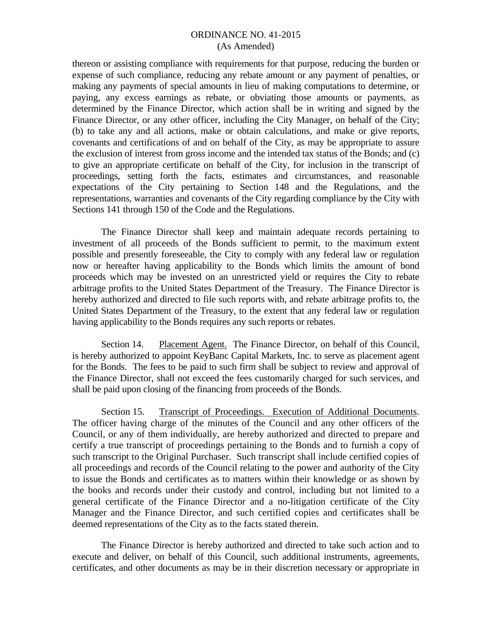thereon or assisting compliance with requirements for that purpose, reducing the burden or expense of such compliance, reducing any rebate amount or any payment of penalties, or making any payments of special amounts in lieu of making computations to determine, or paying, any excess earnings as rebate, or obviating those amounts or payments, as determined by the Finance Director, which action shall be in writing and signed by the Finance Director, or any other officer, including the City Manager, on behalf of the City; (b) to take any and all actions, make or obtain calculations, and make or give reports, covenants and certifications of and on behalf of the City, as may be appropriate to assure the exclusion of interest from gross income and the intended tax status of the Bonds; and (c) to give an appropriate certificate on behalf of the City, for inclusion in the transcript of proceedings, setting forth the facts, estimates and circumstances, and reasonable expectations of the City pertaining to Section 148 and the Regulations, and the representations, warranties and covenants of the City regarding compliance by the City with Sections 141 through 150 of the Code and the Regulations.

 The Finance Director shall keep and maintain adequate records pertaining to investment of all proceeds of the Bonds sufficient to permit, to the maximum extent possible and presently foreseeable, the City to comply with any federal law or regulation now or hereafter having applicability to the Bonds which limits the amount of bond proceeds which may be invested on an unrestricted yield or requires the City to rebate arbitrage profits to the United States Department of the Treasury. The Finance Director is hereby authorized and directed to file such reports with, and rebate arbitrage profits to, the United States Department of the Treasury, to the extent that any federal law or regulation having applicability to the Bonds requires any such reports or rebates.

Section 14. Placement Agent. The Finance Director, on behalf of this Council, is hereby authorized to appoint KeyBanc Capital Markets, Inc. to serve as placement agent for the Bonds. The fees to be paid to such firm shall be subject to review and approval of the Finance Director, shall not exceed the fees customarily charged for such services, and shall be paid upon closing of the financing from proceeds of the Bonds.

Section 15. Transcript of Proceedings. Execution of Additional Documents. The officer having charge of the minutes of the Council and any other officers of the Council, or any of them individually, are hereby authorized and directed to prepare and certify a true transcript of proceedings pertaining to the Bonds and to furnish a copy of such transcript to the Original Purchaser. Such transcript shall include certified copies of all proceedings and records of the Council relating to the power and authority of the City to issue the Bonds and certificates as to matters within their knowledge or as shown by the books and records under their custody and control, including but not limited to a general certificate of the Finance Director and a no-litigation certificate of the City Manager and the Finance Director, and such certified copies and certificates shall be deemed representations of the City as to the facts stated therein.

The Finance Director is hereby authorized and directed to take such action and to execute and deliver, on behalf of this Council, such additional instruments, agreements, certificates, and other documents as may be in their discretion necessary or appropriate in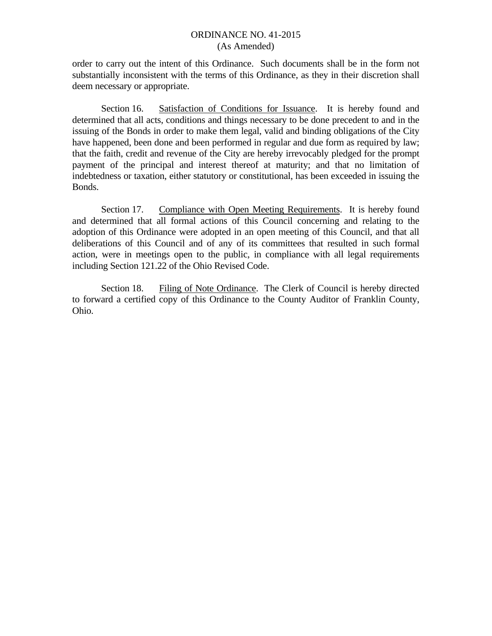order to carry out the intent of this Ordinance. Such documents shall be in the form not substantially inconsistent with the terms of this Ordinance, as they in their discretion shall deem necessary or appropriate.

Section 16. Satisfaction of Conditions for Issuance. It is hereby found and determined that all acts, conditions and things necessary to be done precedent to and in the issuing of the Bonds in order to make them legal, valid and binding obligations of the City have happened, been done and been performed in regular and due form as required by law; that the faith, credit and revenue of the City are hereby irrevocably pledged for the prompt payment of the principal and interest thereof at maturity; and that no limitation of indebtedness or taxation, either statutory or constitutional, has been exceeded in issuing the Bonds.

Section 17. Compliance with Open Meeting Requirements. It is hereby found and determined that all formal actions of this Council concerning and relating to the adoption of this Ordinance were adopted in an open meeting of this Council, and that all deliberations of this Council and of any of its committees that resulted in such formal action, were in meetings open to the public, in compliance with all legal requirements including Section 121.22 of the Ohio Revised Code.

Section 18. Filing of Note Ordinance. The Clerk of Council is hereby directed to forward a certified copy of this Ordinance to the County Auditor of Franklin County, Ohio.